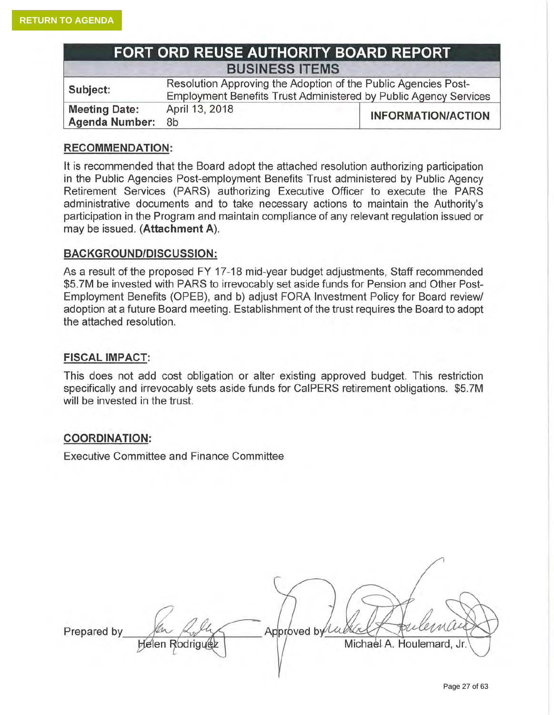| FORT ORD REUSE AUTHORITY BOARD REPORT         |                                                                                                                                    |                           |
|-----------------------------------------------|------------------------------------------------------------------------------------------------------------------------------------|---------------------------|
| <b>BUSINESS ITEMS</b>                         |                                                                                                                                    |                           |
| Subject:                                      | Resolution Approving the Adoption of the Public Agencies Post-<br>Employment Benefits Trust Administered by Public Agency Services |                           |
| <b>Meeting Date:</b><br><b>Agenda Number:</b> | April 13, 2018<br>8b                                                                                                               | <b>INFORMATION/ACTION</b> |

# **RECOMMENDATION:**

It is recommended that the Board adopt the attached resolution authorizing participation in the Public Agencies Post-employment Benefits Trust administered by Public Agency Retirement Services (PARS) authorizing Executive Officer to execute the PARS administrative documents and to take necessary actions to maintain the Authority's participation in the Program and maintain compliance of any relevant regulation issued or may be issued. (Attachment A).

## **BACKGROUND/DISCUSSION:**

As a result of the proposed FY 17-18 mid-year budget adjustments, Staff recommended \$5.7M be invested with PARS to irrevocably set aside funds for Pension and Other Post-Employment Benefits (OPEB), and b) adjust FORA Investment Policy for Board review/ adoption at a future Board meeting. Establishment of the trust requires the Board to adopt the attached resolution.

#### **FISCAL IMPACT:**

This does not add cost obligation or alter existing approved budget. This restriction specifically and irrevocably sets aside funds for CalPERS retirement obligations. \$5.7M will be invested in the trust.

## **COORDINATION:**

**Executive Committee and Finance Committee** 

Prepared by Approved by Lu **Helen Rodriguez** Michael A. Houlemard, Jr.